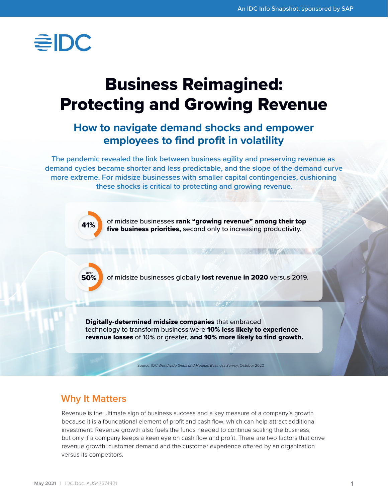

# Business Reimagined: Protecting and Growing Revenue

## **How to navigate demand shocks and empower employees to find profit in volatility**

**The pandemic revealed the link between business agility and preserving revenue as demand cycles became shorter and less predictable, and the slope of the demand curve more extreme. For midsize businesses with smaller capital contingencies, cushioning these shocks is critical to protecting and growing revenue.**



41% of midsize businesses rank "growing revenue" among their top five business priorities, second only to increasing productivity.

**AND MANUFACTURER** 



50% of midsize businesses globally lost revenue in 2020 versus 2019.

Digitally-determined midsize companies that embraced technology to transform business were 10% less likely to experience revenue losses of 10% or greater, and 10% more likely to find growth.

Source: IDC *Worldwide Small and Medium Business Survey,* October 2020

## **Why It Matters**

Revenue is the ultimate sign of business success and a key measure of a company's growth because it is a foundational element of profit and cash flow, which can help attract additional investment. Revenue growth also fuels the funds needed to continue scaling the business, but only if a company keeps a keen eye on cash flow and profit. There are two factors that drive revenue growth: customer demand and the customer experience offered by an organization versus its competitors.